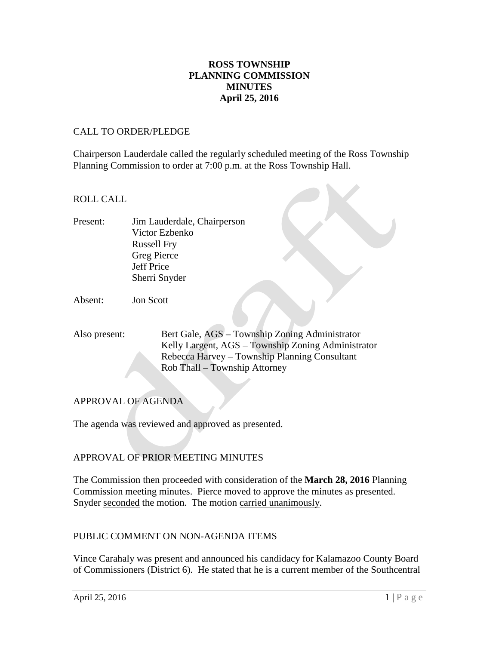# **ROSS TOWNSHIP PLANNING COMMISSION MINUTES April 25, 2016**

#### CALL TO ORDER/PLEDGE

Chairperson Lauderdale called the regularly scheduled meeting of the Ross Township Planning Commission to order at 7:00 p.m. at the Ross Township Hall.

### ROLL CALL

Present: Jim Lauderdale, Chairperson Victor Ezbenko Russell Fry Greg Pierce Jeff Price Sherri Snyder

Absent: Jon Scott

Also present: Bert Gale, AGS – Township Zoning Administrator Kelly Largent, AGS – Township Zoning Administrator Rebecca Harvey – Township Planning Consultant Rob Thall – Township Attorney

## APPROVAL OF AGENDA

The agenda was reviewed and approved as presented.

## APPROVAL OF PRIOR MEETING MINUTES

The Commission then proceeded with consideration of the **March 28, 2016** Planning Commission meeting minutes. Pierce moved to approve the minutes as presented. Snyder seconded the motion. The motion carried unanimously.

#### PUBLIC COMMENT ON NON-AGENDA ITEMS

Vince Carahaly was present and announced his candidacy for Kalamazoo County Board of Commissioners (District 6). He stated that he is a current member of the Southcentral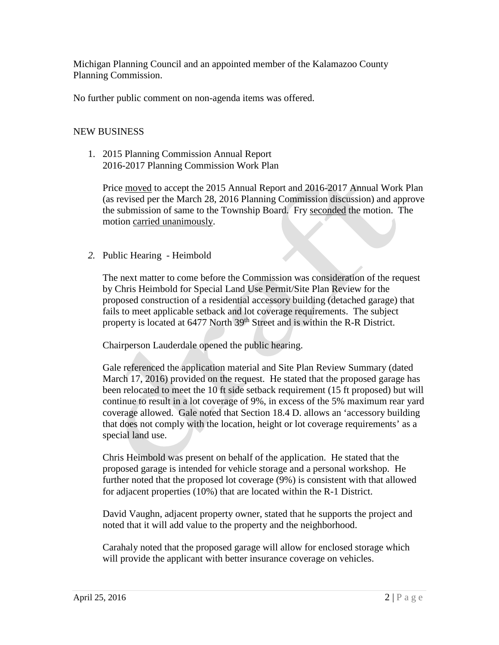Michigan Planning Council and an appointed member of the Kalamazoo County Planning Commission.

No further public comment on non-agenda items was offered.

# NEW BUSINESS

1. 2015 Planning Commission Annual Report 2016-2017 Planning Commission Work Plan

Price moved to accept the 2015 Annual Report and 2016-2017 Annual Work Plan (as revised per the March 28, 2016 Planning Commission discussion) and approve the submission of same to the Township Board. Fry seconded the motion. The motion carried unanimously.

*2.* Public Hearing - Heimbold

The next matter to come before the Commission was consideration of the request by Chris Heimbold for Special Land Use Permit/Site Plan Review for the proposed construction of a residential accessory building (detached garage) that fails to meet applicable setback and lot coverage requirements. The subject property is located at 6477 North 39<sup>th</sup> Street and is within the R-R District.

Chairperson Lauderdale opened the public hearing.

Gale referenced the application material and Site Plan Review Summary (dated March 17, 2016) provided on the request. He stated that the proposed garage has been relocated to meet the 10 ft side setback requirement (15 ft proposed) but will continue to result in a lot coverage of 9%, in excess of the 5% maximum rear yard coverage allowed. Gale noted that Section 18.4 D. allows an 'accessory building that does not comply with the location, height or lot coverage requirements' as a special land use.

Chris Heimbold was present on behalf of the application. He stated that the proposed garage is intended for vehicle storage and a personal workshop. He further noted that the proposed lot coverage (9%) is consistent with that allowed for adjacent properties (10%) that are located within the R-1 District.

David Vaughn, adjacent property owner, stated that he supports the project and noted that it will add value to the property and the neighborhood.

Carahaly noted that the proposed garage will allow for enclosed storage which will provide the applicant with better insurance coverage on vehicles.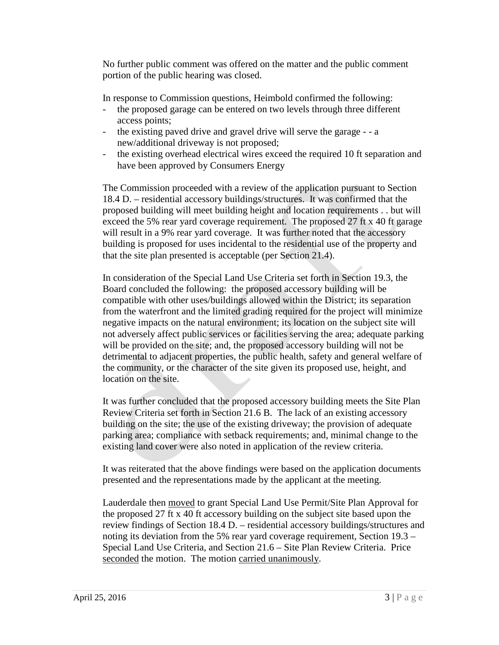No further public comment was offered on the matter and the public comment portion of the public hearing was closed.

In response to Commission questions, Heimbold confirmed the following:

- the proposed garage can be entered on two levels through three different access points;
- the existing paved drive and gravel drive will serve the garage - a new/additional driveway is not proposed;
- the existing overhead electrical wires exceed the required 10 ft separation and have been approved by Consumers Energy

The Commission proceeded with a review of the application pursuant to Section 18.4 D. – residential accessory buildings/structures. It was confirmed that the proposed building will meet building height and location requirements . . but will exceed the 5% rear yard coverage requirement. The proposed 27 ft x 40 ft garage will result in a 9% rear yard coverage. It was further noted that the accessory building is proposed for uses incidental to the residential use of the property and that the site plan presented is acceptable (per Section 21.4).

In consideration of the Special Land Use Criteria set forth in Section 19.3, the Board concluded the following: the proposed accessory building will be compatible with other uses/buildings allowed within the District; its separation from the waterfront and the limited grading required for the project will minimize negative impacts on the natural environment; its location on the subject site will not adversely affect public services or facilities serving the area; adequate parking will be provided on the site; and, the proposed accessory building will not be detrimental to adjacent properties, the public health, safety and general welfare of the community, or the character of the site given its proposed use, height, and location on the site.

It was further concluded that the proposed accessory building meets the Site Plan Review Criteria set forth in Section 21.6 B. The lack of an existing accessory building on the site; the use of the existing driveway; the provision of adequate parking area; compliance with setback requirements; and, minimal change to the existing land cover were also noted in application of the review criteria.

It was reiterated that the above findings were based on the application documents presented and the representations made by the applicant at the meeting.

Lauderdale then moved to grant Special Land Use Permit/Site Plan Approval for the proposed 27 ft x 40 ft accessory building on the subject site based upon the review findings of Section 18.4 D. – residential accessory buildings/structures and noting its deviation from the 5% rear yard coverage requirement, Section 19.3 – Special Land Use Criteria, and Section 21.6 – Site Plan Review Criteria. Price seconded the motion. The motion carried unanimously.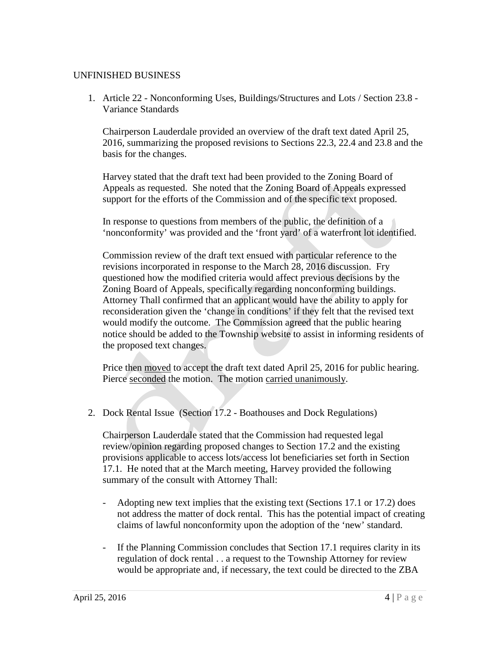### UNFINISHED BUSINESS

1. Article 22 - Nonconforming Uses, Buildings/Structures and Lots / Section 23.8 - Variance Standards

Chairperson Lauderdale provided an overview of the draft text dated April 25, 2016, summarizing the proposed revisions to Sections 22.3, 22.4 and 23.8 and the basis for the changes.

Harvey stated that the draft text had been provided to the Zoning Board of Appeals as requested. She noted that the Zoning Board of Appeals expressed support for the efforts of the Commission and of the specific text proposed.

In response to questions from members of the public, the definition of a 'nonconformity' was provided and the 'front yard' of a waterfront lot identified.

Commission review of the draft text ensued with particular reference to the revisions incorporated in response to the March 28, 2016 discussion. Fry questioned how the modified criteria would affect previous decisions by the Zoning Board of Appeals, specifically regarding nonconforming buildings. Attorney Thall confirmed that an applicant would have the ability to apply for reconsideration given the 'change in conditions' if they felt that the revised text would modify the outcome. The Commission agreed that the public hearing notice should be added to the Township website to assist in informing residents of the proposed text changes.

Price then moved to accept the draft text dated April 25, 2016 for public hearing. Pierce seconded the motion. The motion carried unanimously.

2. Dock Rental Issue (Section 17.2 - Boathouses and Dock Regulations)

Chairperson Lauderdale stated that the Commission had requested legal review/opinion regarding proposed changes to Section 17.2 and the existing provisions applicable to access lots/access lot beneficiaries set forth in Section 17.1. He noted that at the March meeting, Harvey provided the following summary of the consult with Attorney Thall:

- Adopting new text implies that the existing text (Sections 17.1 or 17.2) does not address the matter of dock rental. This has the potential impact of creating claims of lawful nonconformity upon the adoption of the 'new' standard.
- If the Planning Commission concludes that Section 17.1 requires clarity in its regulation of dock rental . . a request to the Township Attorney for review would be appropriate and, if necessary, the text could be directed to the ZBA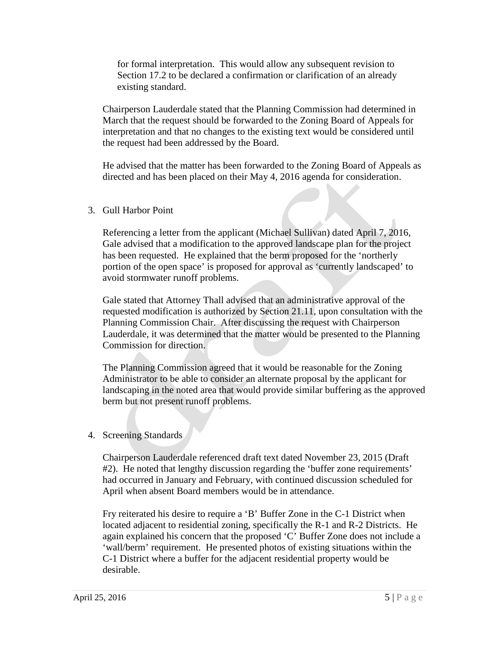for formal interpretation. This would allow any subsequent revision to Section 17.2 to be declared a confirmation or clarification of an already existing standard.

Chairperson Lauderdale stated that the Planning Commission had determined in March that the request should be forwarded to the Zoning Board of Appeals for interpretation and that no changes to the existing text would be considered until the request had been addressed by the Board.

He advised that the matter has been forwarded to the Zoning Board of Appeals as directed and has been placed on their May 4, 2016 agenda for consideration.

### 3. Gull Harbor Point

Referencing a letter from the applicant (Michael Sullivan) dated April 7, 2016, Gale advised that a modification to the approved landscape plan for the project has been requested. He explained that the berm proposed for the 'northerly portion of the open space' is proposed for approval as 'currently landscaped' to avoid stormwater runoff problems.

Gale stated that Attorney Thall advised that an administrative approval of the requested modification is authorized by Section 21.11, upon consultation with the Planning Commission Chair. After discussing the request with Chairperson Lauderdale, it was determined that the matter would be presented to the Planning Commission for direction.

The Planning Commission agreed that it would be reasonable for the Zoning Administrator to be able to consider an alternate proposal by the applicant for landscaping in the noted area that would provide similar buffering as the approved berm but not present runoff problems.

#### 4. Screening Standards

Chairperson Lauderdale referenced draft text dated November 23, 2015 (Draft #2). He noted that lengthy discussion regarding the 'buffer zone requirements' had occurred in January and February, with continued discussion scheduled for April when absent Board members would be in attendance.

Fry reiterated his desire to require a 'B' Buffer Zone in the C-1 District when located adjacent to residential zoning, specifically the R-1 and R-2 Districts. He again explained his concern that the proposed 'C' Buffer Zone does not include a 'wall/berm' requirement. He presented photos of existing situations within the C-1 District where a buffer for the adjacent residential property would be desirable.